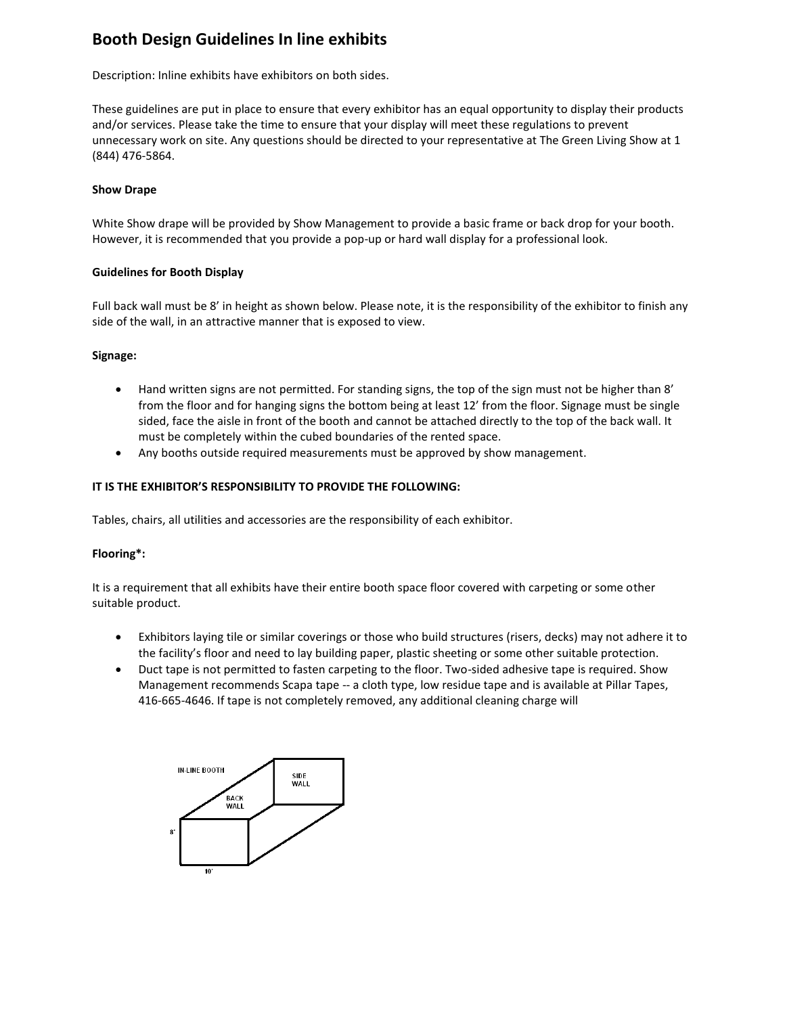# **Booth Design Guidelines In line exhibits**

Description: Inline exhibits have exhibitors on both sides.

These guidelines are put in place to ensure that every exhibitor has an equal opportunity to display their products and/or services. Please take the time to ensure that your display will meet these regulations to prevent unnecessary work on site. Any questions should be directed to your representative at The Green Living Show at 1 (844) 476-5864.

## **Show Drape**

White Show drape will be provided by Show Management to provide a basic frame or back drop for your booth. However, it is recommended that you provide a pop-up or hard wall display for a professional look.

## **Guidelines for Booth Display**

Full back wall must be 8' in height as shown below. Please note, it is the responsibility of the exhibitor to finish any side of the wall, in an attractive manner that is exposed to view.

# **Signage:**

- Hand written signs are not permitted. For standing signs, the top of the sign must not be higher than 8' from the floor and for hanging signs the bottom being at least 12' from the floor. Signage must be single sided, face the aisle in front of the booth and cannot be attached directly to the top of the back wall. It must be completely within the cubed boundaries of the rented space.
- Any booths outside required measurements must be approved by show management.

## **IT IS THE EXHIBITOR'S RESPONSIBILITY TO PROVIDE THE FOLLOWING:**

Tables, chairs, all utilities and accessories are the responsibility of each exhibitor.

# **Flooring\*:**

It is a requirement that all exhibits have their entire booth space floor covered with carpeting or some other suitable product.

- Exhibitors laying tile or similar coverings or those who build structures (risers, decks) may not adhere it to the facility's floor and need to lay building paper, plastic sheeting or some other suitable protection.
- Duct tape is not permitted to fasten carpeting to the floor. Two-sided adhesive tape is required. Show Management recommends Scapa tape -- a cloth type, low residue tape and is available at Pillar Tapes, 416-665-4646. If tape is not completely removed, any additional cleaning charge will

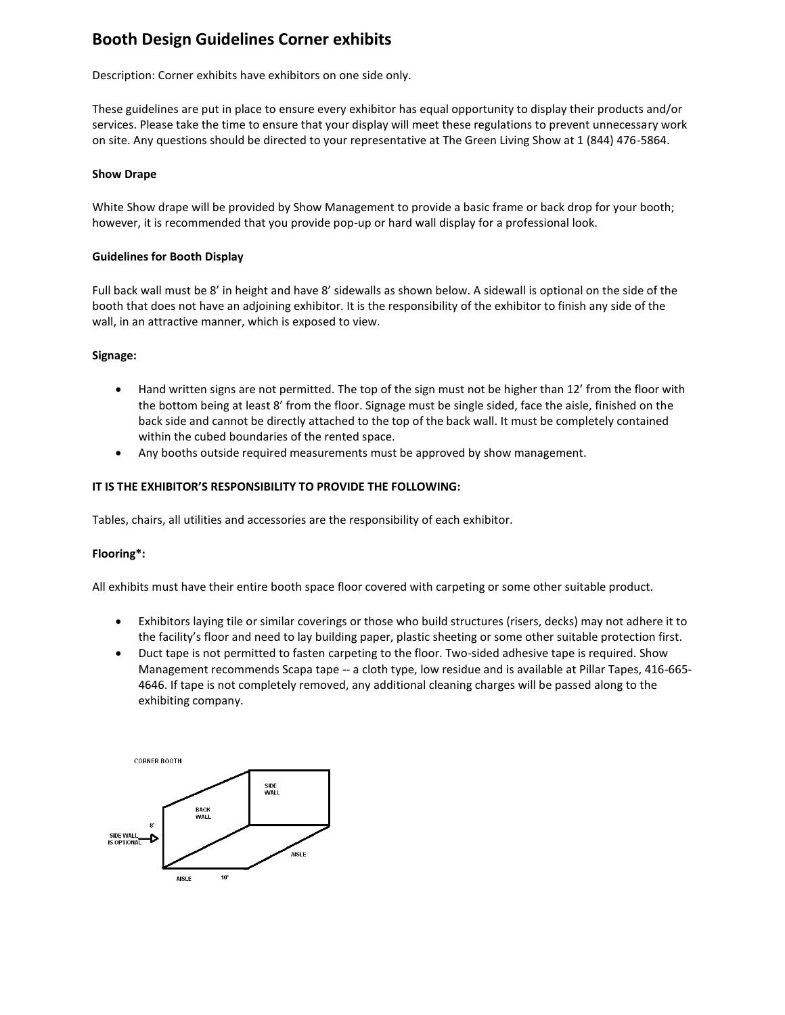# **Booth Design Guidelines Corner exhibits**

Description: Corner exhibits have exhibitors on one side only.

These guidelines are put in place to ensure every exhibitor has equal opportunity to display their products and/or services. Please take the time to ensure that your display will meet these regulations to prevent unnecessary work on site. Any questions should be directed to your representative at The Green Living Show at 1 (844) 476-5864.

## **Show Drape**

White Show drape will be provided by Show Management to provide a basic frame or back drop for your booth; however, it is recommended that you provide pop-up or hard wall display for a professional look.

## **Guidelines for Booth Display**

Full back wall must be 8' in height and have 8' sidewalls as shown below. A sidewall is optional on the side of the booth that does not have an adjoining exhibitor. It is the responsibility of the exhibitor to finish any side of the wall, in an attractive manner, which is exposed to view.

## **Signage:**

- Hand written signs are not permitted. The top of the sign must not be higher than 12' from the floor with the bottom being at least 8' from the floor. Signage must be single sided, face the aisle, finished on the back side and cannot be directly attached to the top of the back wall. It must be completely contained within the cubed boundaries of the rented space.
- Any booths outside required measurements must be approved by show management.

## **IT IS THE EXHIBITOR'S RESPONSIBILITY TO PROVIDE THE FOLLOWING:**

Tables, chairs, all utilities and accessories are the responsibility of each exhibitor.

# **Flooring\*:**

All exhibits must have their entire booth space floor covered with carpeting or some other suitable product.

- Exhibitors laying tile or similar coverings or those who build structures (risers, decks) may not adhere it to the facility's floor and need to lay building paper, plastic sheeting or some other suitable protection first.
- Duct tape is not permitted to fasten carpeting to the floor. Two-sided adhesive tape is required. Show Management recommends Scapa tape -- a cloth type, low residue and is available at Pillar Tapes, 416-665- 4646. If tape is not completely removed, any additional cleaning charges will be passed along to the exhibiting company.

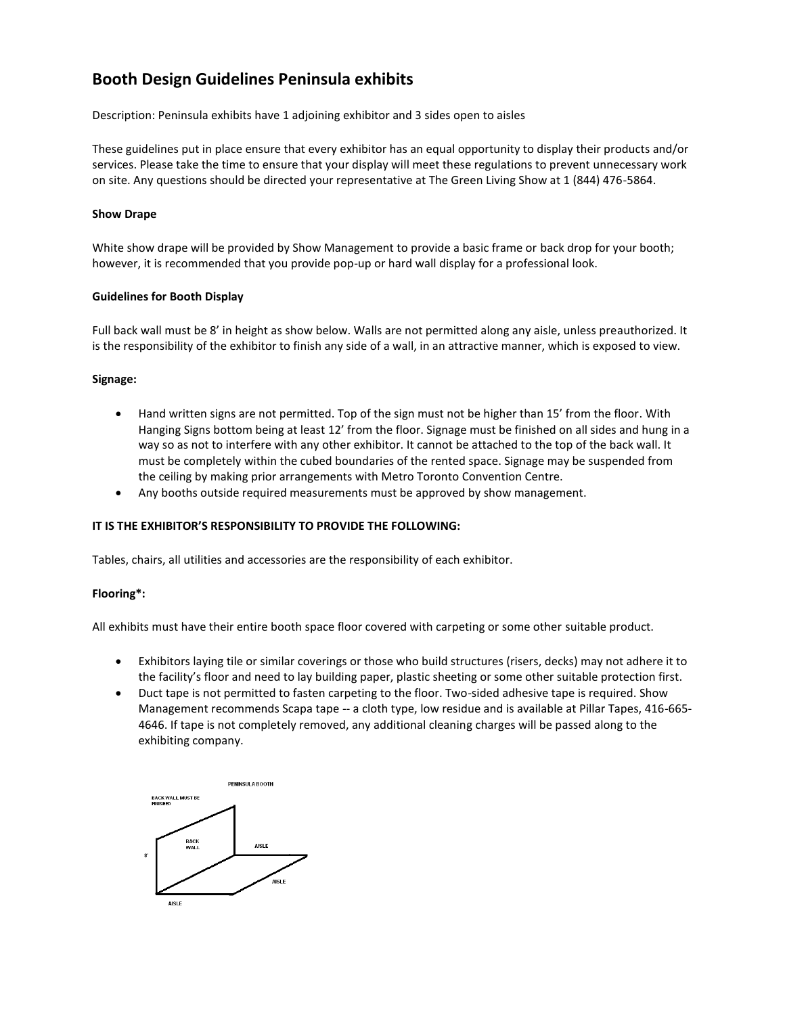# **Booth Design Guidelines Peninsula exhibits**

Description: Peninsula exhibits have 1 adjoining exhibitor and 3 sides open to aisles

These guidelines put in place ensure that every exhibitor has an equal opportunity to display their products and/or services. Please take the time to ensure that your display will meet these regulations to prevent unnecessary work on site. Any questions should be directed your representative at The Green Living Show at 1 (844) 476-5864.

## **Show Drape**

White show drape will be provided by Show Management to provide a basic frame or back drop for your booth; however, it is recommended that you provide pop-up or hard wall display for a professional look.

## **Guidelines for Booth Display**

Full back wall must be 8' in height as show below. Walls are not permitted along any aisle, unless preauthorized. It is the responsibility of the exhibitor to finish any side of a wall, in an attractive manner, which is exposed to view.

## **Signage:**

- Hand written signs are not permitted. Top of the sign must not be higher than 15' from the floor. With Hanging Signs bottom being at least 12' from the floor. Signage must be finished on all sides and hung in a way so as not to interfere with any other exhibitor. It cannot be attached to the top of the back wall. It must be completely within the cubed boundaries of the rented space. Signage may be suspended from the ceiling by making prior arrangements with Metro Toronto Convention Centre.
- Any booths outside required measurements must be approved by show management.

# **IT IS THE EXHIBITOR'S RESPONSIBILITY TO PROVIDE THE FOLLOWING:**

Tables, chairs, all utilities and accessories are the responsibility of each exhibitor.

#### **Flooring\*:**

All exhibits must have their entire booth space floor covered with carpeting or some other suitable product.

- Exhibitors laying tile or similar coverings or those who build structures (risers, decks) may not adhere it to the facility's floor and need to lay building paper, plastic sheeting or some other suitable protection first.
- Duct tape is not permitted to fasten carpeting to the floor. Two-sided adhesive tape is required. Show Management recommends Scapa tape -- a cloth type, low residue and is available at Pillar Tapes, 416-665- 4646. If tape is not completely removed, any additional cleaning charges will be passed along to the exhibiting company.